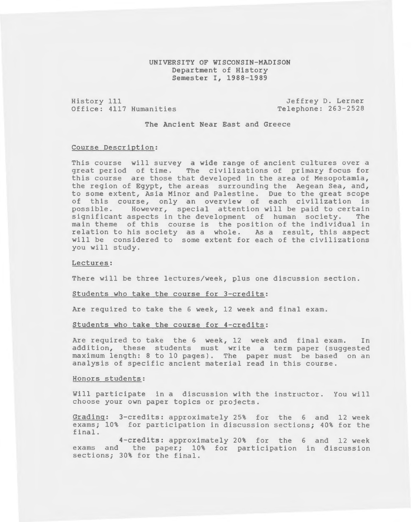## UNIVERSITY OF WISCONSIN-MADISON Department of History Semester I, 1988-1989

History 111 Office: 4117 Humanities

Jeffrey D. Lerner Telephone: 263-2528

The Ancient Near East and Greece

#### Course Description:

This course will survey a wide range of ancient cultures over a great period of time. The civilizations of primary focus for this course are those that developed in the area of Mesopotamia, the region of Egypt, the areas surrounding the Aegean Sea, and, to some extent, Asia Minor and Palestine. Due to the great scope of this course, only an overview of each civilization is<br>possible. However, special attention will be paid to certain However, special attention will be paid to certain significant aspects in the development of human society. The main theme of this course is the position of the individual in relation to his society as a whole. As a result, this aspect will be considered to some extent for each of the civilizations you will study.

#### Lectures:

There will be three lectures/week, plus one discussion section.

#### Students who take the course for 3-credits:

Are required to take the 6 week, 12 week and final exam.

### Students who take the course for 4-credits:

Are required to take the 6 week, 12 week and final exam. In addition, these students must write a term paper (suggested maximum length: 8 to 10 pages). The paper must be based on an analysis of specific ancient material read in this course.

# Honors students:

Will participate in a discussion with the instructor. You will choose your own paper topics or projects.

Grading: 3-credits: approximately 25% for the 6 and 12 week exams; 10% for participation in discussion sections; 40% for the final.

4-credits: approximately 20% for the 6 and 12 week exams and the paper; 10% for participation in discussion sections; 30% for the final.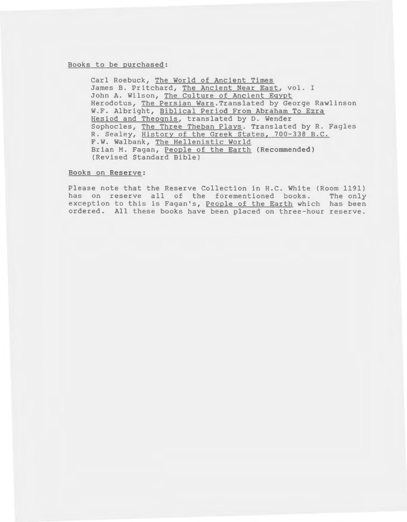#### Books to be purchased:

Carl Roebuck, The World of Ancient Times James B. Pritchard, The Ancient Near East, vol. I John A. Wilson, The Culture of Ancient Egypt Herodotus, The Persian Wars.Translated by George Rawlinson W.F. Albright, Biblical Period From Abraham To Ezra Hesiod and Theognis, translated by D. Wender Sophocles, The Three Theban Plays. Translated by R. Fagles R. Sealey, History of the Greek States, 700-338 B.C. F.W. Walbank, The Hellenistic World Brian M. Fagan, People of the Earth (Recommended) (Revised Standard Bible)

### Books on Reserve:

Please note that the Reserve Collection in H.C. White (Room 1191) has on reserve all of the forementioned books. The only exception to this is Fagan's, People of the Earth which has been ordered. All these books have been placed on three-hour reserve.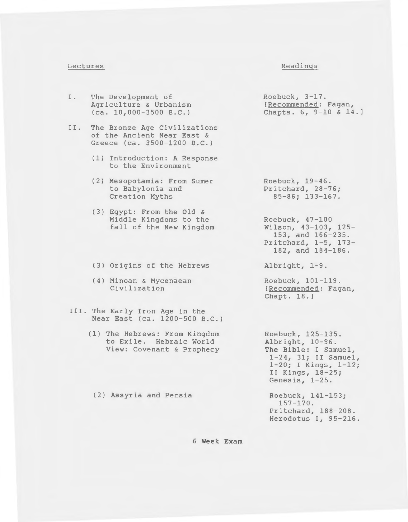### Lectures

#### Readings

- I. The Development of Agriculture & Urbanism (ca. 10,000-3500 B.C.)
- II. The Bronze Age Civilizations of the Ancient Near East & Greece (ca. 3500-1200 B.C.)
	- (1) Introduction: A Response to the Environment
	- (2) Mesopotamia: From Sumer to Babylonia and Creation Myths
	- (3) Egypt: From the Old & Middle Kingdoms to the fall of the New Kingdom
	- (3) Origins of the Hebrews
	- (4) Minoan & Mycenaean Civilization
- III. The Early Iron Age in the Near East (ca. 1200-500 B.C.)
	- (1) The Hebrews: From Kingdom to Exile. Hebraic World View: Covenant & Prophecy

(2) Assyria and Persia

Roebuck, 3-17. [Recommended: Fagan, Chapts. 6, 9-10 & 14. l

Roebuck, 19-46. Pritchard, 28-76; 85-86; 133-167.

Roebuck, 47-100 Wilson, 43-103, 125- 153, and 166-235. Pritchard, 1-5, 173- 182, and 184-186.

Albright, 1-9.

Roebuck, 101-119. [Recommended: Fagan, Chapt. 18.]

Roebuck, 125-135. Albright, 10-96. **The Bible:** I Samuel, 1-24, 31; II Samuel, 1-20; I Kings, 1-12; II Kings, 18-25; Genesis, 1-25.

Roebuck, 141-153; 157-170. Pritchard, 188-208. Herodotus I, 95-216.

### **6 Week Exam**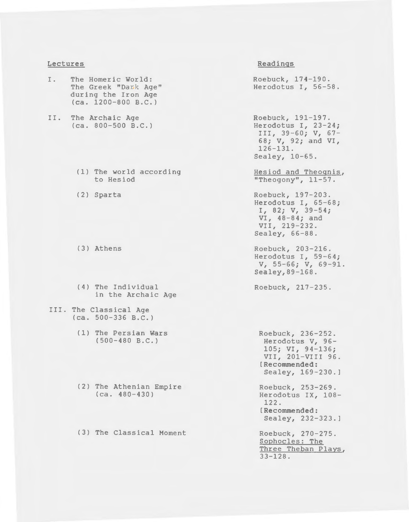### **Lectures**

- I. The Homeric World: The Greek "Dark Age" during the Iron Age (ca. 1200-800 B.C.)
- II. The Archaic Age (ca. 800-500 B.C.)
	- (1) The world according to Hesiod
	- (2) Sparta
	- (3} Athens
	- (4) The Individual in the Archaic Age
- III. The Classical Age (ca. 500-336 B.C.)
	- (1) The Persian Wars (500-480 B.C.)
	- (2) The Athenian Empire (ca. 480-430)
	- (3) The Classical Moment

## **Readings**

Roebuck, 174-190. Herodotus I, 56-58.

Roebuck, 191-197. Herodotus I, 23-24; III, 39-60; V, 67- 68; V, 92; and VI, 126-131. Sealey, 10-65.

Hesiod and Theognis, "Theogony", 11-57.

Roebuck, 197-203. Herodotus I, 65-68;  $I, 82; V, 39-54;$ VI, 48-84; and VII, 219-232. Sealey, 66-88.

Roebuck, 203-216. Herodotus I, 59-64; v, 55-66; v, 69-91. Sealey,89-168.

Roebuck, 217-235.

Roebuck, 236-252. Herodotus V, 96- 105; VI, 94-136; VII, 201-VIII 96. **[Recommended:**  Sealey, 169-230.] Roebuck, 253-269. Herodotus IX, 108- 122. **[Recommended:**  Sealey, 232-323.] Roebuck, 270-275.

Sophocles: The Three Theban Plays,  $33 - 128$ .